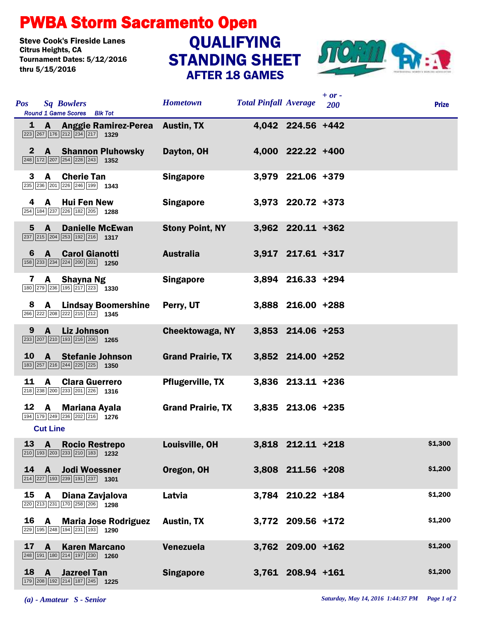## PWBA Storm Sacramento Open

Steve Cook's Fireside Lanes<br>Citrus Heights, CA Tournament Dates: 5/12/2016 thru 5/15/2016

## STANDING SHEET AFTER 18 GAMES **QUALIFYING**



| <b>Pos</b>   | <b>Sq Bowlers</b><br>Round 1 Game Scores Blk Tot                                                                                          | <b>Hometown</b>          | <b>Total Pinfall Average</b> |                   | $+$ or $-$<br>200 | <b>Prize</b> |
|--------------|-------------------------------------------------------------------------------------------------------------------------------------------|--------------------------|------------------------------|-------------------|-------------------|--------------|
|              | 1 A Anggie Ramirez-Perea Austin, TX<br>$\boxed{223}$ $\boxed{267}$ $\boxed{176}$ $\boxed{212}$ $\boxed{234}$ $\boxed{217}$ <b>1329</b>    |                          |                              | 4,042 224.56 +442 |                   |              |
| 2            | <b>A</b> Shannon Pluhowsky<br>$\boxed{248}$ 172 207 254 228 243 1352                                                                      | Dayton, OH               |                              | 4,000 222.22 +400 |                   |              |
| 3.           | A<br><b>Cherie Tan</b><br>235 236 201 226 246 199 1343                                                                                    | <b>Singapore</b>         |                              | 3,979 221.06 +379 |                   |              |
| 4            | A Hui Fen New<br>254 184 237 226 182 205 1288                                                                                             | <b>Singapore</b>         |                              | 3,973 220.72 +373 |                   |              |
| 5            | $\mathbf{A}$<br><b>Danielle McEwan</b><br>$\boxed{237}$ $\boxed{215}$ $\boxed{204}$ $\boxed{253}$ $\boxed{192}$ $\boxed{216}$ <b>1317</b> | <b>Stony Point, NY</b>   |                              | 3,962 220.11 +362 |                   |              |
| 6            | <b>A</b> Carol Gianotti<br>158 233 234 224 200 201 1250                                                                                   | <b>Australia</b>         |                              | 3,917 217.61 +317 |                   |              |
| $\mathbf{7}$ | A Shayna Ng<br>180 279 236 195 217 223 1330                                                                                               | <b>Singapore</b>         |                              | 3,894 216.33 +294 |                   |              |
| 8            | <b>Lindsay Boomershine</b><br>A<br>266 222 208 222 215 212 1345                                                                           | Perry, UT                |                              | 3,888 216.00 +288 |                   |              |
| 9            | $\mathbf{A}$<br><b>Liz Johnson</b><br>233 207 210 193 216 206 1265                                                                        | <b>Cheektowaga, NY</b>   |                              | 3,853 214.06 +253 |                   |              |
| <b>10</b>    | <b>A</b> Stefanie Johnson<br>183 257 216 244 225 225 1350                                                                                 | <b>Grand Prairie, TX</b> |                              | 3,852 214.00 +252 |                   |              |
| 11           | A<br><b>Clara Guerrero</b><br>218 238 200 233 201 226 1316                                                                                | <b>Pflugerville, TX</b>  |                              | 3,836 213.11 +236 |                   |              |
| 12 A         | <b>Mariana Ayala</b><br>194 179 249 236 202 216 1276<br><b>Cut Line</b>                                                                   | <b>Grand Prairie, TX</b> |                              | 3,835 213.06 +235 |                   |              |
|              | 13 A Rocio Restrepo<br>210 193 203 233 210 183 1232                                                                                       | Louisville, OH           |                              | 3,818 212.11 +218 |                   | \$1,300      |
| 14           | <b>A</b> Jodi Woessner<br>214 227 193 239 191 237 1301                                                                                    | Oregon, OH               |                              | 3,808 211.56 +208 |                   | \$1,200      |
|              | 15 A Diana Zavjalova<br>220 213 231 170 258 206 1298                                                                                      | Latvia                   |                              | 3,784 210.22 +184 |                   | \$1,200      |
|              | 16 A<br><b>Maria Jose Rodriguez</b><br>229 195 248 194 231 193 1290                                                                       | <b>Austin, TX</b>        |                              | 3,772 209.56 +172 |                   | \$1,200      |
| 17           | <b>Karen Marcano</b><br>A<br>248 191 180 214 197 230 1260                                                                                 | Venezuela                |                              | 3,762 209.00 +162 |                   | \$1,200      |
|              | $18$ A<br><b>Jazreel Tan</b><br>179 208 192 214 187 245 1225                                                                              | <b>Singapore</b>         |                              | 3,761 208.94 +161 |                   | \$1,200      |